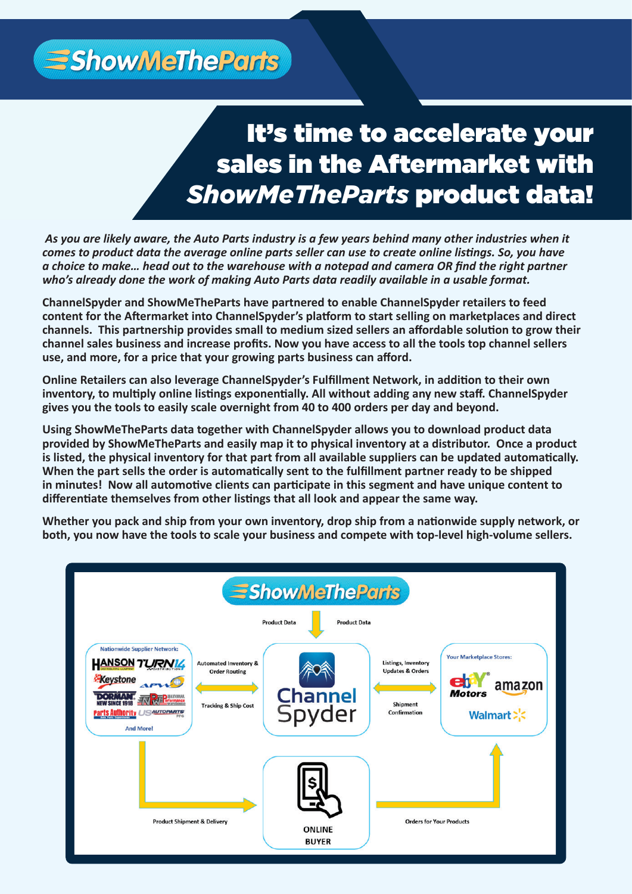**ShowMeTheParts** 

# It's time to accelerate your sales in the Aftermarket with **ShowMeTheParts product data!**

As you are likely aware, the Auto Parts industry is a few years behind many other industries when it as you are mery aware, the *rate rares maastry is a jew years berma many oncer maastries when ne*<br>comes to product data the average online parts seller can use to create online listings. So, you have direct content and the average channel parts sener can use to create channel istings. So, you have a choice to make... head out to the warehouse with a notepad and camera OR find the right partner a enotee to make... head out to the warehouse with a hotepad and camera on jind the right who's already done the work of making Auto Parts data readily available in a usable format.

ChannelSpyder and ShowMeTheParts have partnered to enable ChannelSpyder retailers to feed content for the Aftermarket into ChannelSpyder's platform to start selling on marketplaces and direct channel sales business and increase profits. Now you have access to all the tools top channel sellers use, and more, for a price that your growing parts business can afford. **channels. This partnership provides small to medium sized sellers an affordable solution to grow their** 

Online Retailers can also leverage ChannelSpyder's Fulfillment Network, in addition to their own This eliminately the need to buy and carry physical inventory. And without adding any new stand channels pydi gives you the tools to easily scale overnight from 40 to 400 orders per day and beyond. **inventory, to multiply online listings exponentially. All without adding any new staff. ChannelSpyder** 

**Using ShowMeTheParts data together with ChannelSpyder allows you to download product data provided by ShowMeTheParts and easily map it to physical inventory at a distributor. Once a product is listed, the physical inventory for that part from all available suppliers can be updated automatically. When the part sells the order is automatically sent to the fulfillment partner ready to be shipped in minutes! Now all automotive clients can participate in this segment and have unique content to differentiate themselves from other listings that all look and appear the same way.**

**Whether you pack and ship from your own inventory, drop ship from a nationwide supply network, or both, you now have the tools to scale your business and compete with top-level high-volume sellers.**